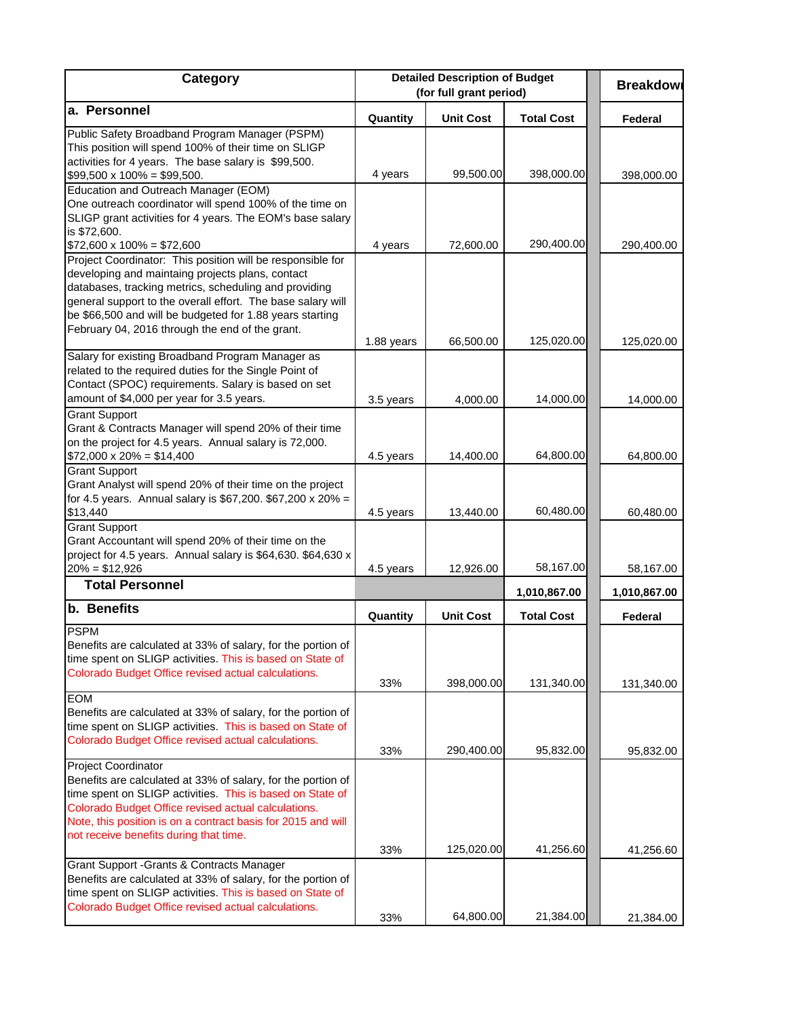| Category                                                                                                                                                                                                                                                                                                                                              | <b>Detailed Description of Budget</b><br>(for full grant period) |                  |                   | <b>Breakdowl</b>          |
|-------------------------------------------------------------------------------------------------------------------------------------------------------------------------------------------------------------------------------------------------------------------------------------------------------------------------------------------------------|------------------------------------------------------------------|------------------|-------------------|---------------------------|
| a. Personnel                                                                                                                                                                                                                                                                                                                                          | Quantity                                                         | <b>Unit Cost</b> | <b>Total Cost</b> | Federal                   |
| Public Safety Broadband Program Manager (PSPM)<br>This position will spend 100% of their time on SLIGP<br>activities for 4 years. The base salary is \$99,500.<br>$$99,500 \times 100\% = $99,500.$                                                                                                                                                   | 4 years                                                          | 99,500.00        | 398,000.00        | 398,000.00                |
| Education and Outreach Manager (EOM)<br>One outreach coordinator will spend 100% of the time on<br>SLIGP grant activities for 4 years. The EOM's base salary<br>is \$72,600.<br>$$72,600 \times 100\% = $72,600$                                                                                                                                      | 4 years                                                          | 72,600.00        | 290,400.00        | 290,400.00                |
| Project Coordinator: This position will be responsible for<br>developing and maintaing projects plans, contact<br>databases, tracking metrics, scheduling and providing<br>general support to the overall effort. The base salary will<br>be \$66,500 and will be budgeted for 1.88 years starting<br>February 04, 2016 through the end of the grant. |                                                                  |                  |                   |                           |
| Salary for existing Broadband Program Manager as<br>related to the required duties for the Single Point of<br>Contact (SPOC) requirements. Salary is based on set                                                                                                                                                                                     | 1.88 years                                                       | 66,500.00        | 125,020.00        | 125,020.00                |
| amount of \$4,000 per year for 3.5 years.                                                                                                                                                                                                                                                                                                             | 3.5 years                                                        | 4,000.00         | 14,000.00         | 14,000.00                 |
| <b>Grant Support</b><br>Grant & Contracts Manager will spend 20% of their time<br>on the project for 4.5 years. Annual salary is 72,000.                                                                                                                                                                                                              |                                                                  |                  |                   |                           |
| $$72,000 \times 20\% = $14,400$                                                                                                                                                                                                                                                                                                                       | 4.5 years                                                        | 14,400.00        | 64,800.00         | 64,800.00                 |
| <b>Grant Support</b><br>Grant Analyst will spend 20% of their time on the project<br>for 4.5 years. Annual salary is \$67,200. \$67,200 x 20% =                                                                                                                                                                                                       |                                                                  |                  |                   |                           |
| \$13,440<br><b>Grant Support</b>                                                                                                                                                                                                                                                                                                                      | 4.5 years                                                        | 13,440.00        | 60,480.00         | 60,480.00                 |
| Grant Accountant will spend 20% of their time on the<br>project for 4.5 years. Annual salary is \$64,630. \$64,630 x<br>$20\% = $12,926$                                                                                                                                                                                                              |                                                                  | 12,926.00        | 58,167.00         |                           |
| <b>Total Personnel</b>                                                                                                                                                                                                                                                                                                                                | 4.5 years                                                        |                  | 1,010,867.00      | 58,167.00<br>1,010,867.00 |
| <b>b.</b> Benefits                                                                                                                                                                                                                                                                                                                                    | Quantity                                                         | <b>Unit Cost</b> | <b>Total Cost</b> | Federal                   |
| <b>PSPM</b><br>Benefits are calculated at 33% of salary, for the portion of<br>time spent on SLIGP activities. This is based on State of<br>Colorado Budget Office revised actual calculations.                                                                                                                                                       | 33%                                                              | 398,000.00       | 131,340.00        | 131,340.00                |
| <b>EOM</b><br>Benefits are calculated at 33% of salary, for the portion of<br>time spent on SLIGP activities. This is based on State of<br>Colorado Budget Office revised actual calculations.                                                                                                                                                        | 33%                                                              | 290,400.00       | 95,832.00         | 95,832.00                 |
| Project Coordinator<br>Benefits are calculated at 33% of salary, for the portion of<br>time spent on SLIGP activities. This is based on State of<br>Colorado Budget Office revised actual calculations.<br>Note, this position is on a contract basis for 2015 and will<br>not receive benefits during that time.                                     |                                                                  |                  |                   |                           |
|                                                                                                                                                                                                                                                                                                                                                       | 33%                                                              | 125,020.00       | 41,256.60         | 41,256.60                 |
| Grant Support - Grants & Contracts Manager<br>Benefits are calculated at 33% of salary, for the portion of<br>time spent on SLIGP activities. This is based on State of<br>Colorado Budget Office revised actual calculations.                                                                                                                        |                                                                  |                  |                   |                           |
|                                                                                                                                                                                                                                                                                                                                                       | 33%                                                              | 64,800.00        | 21,384.00         | 21,384.00                 |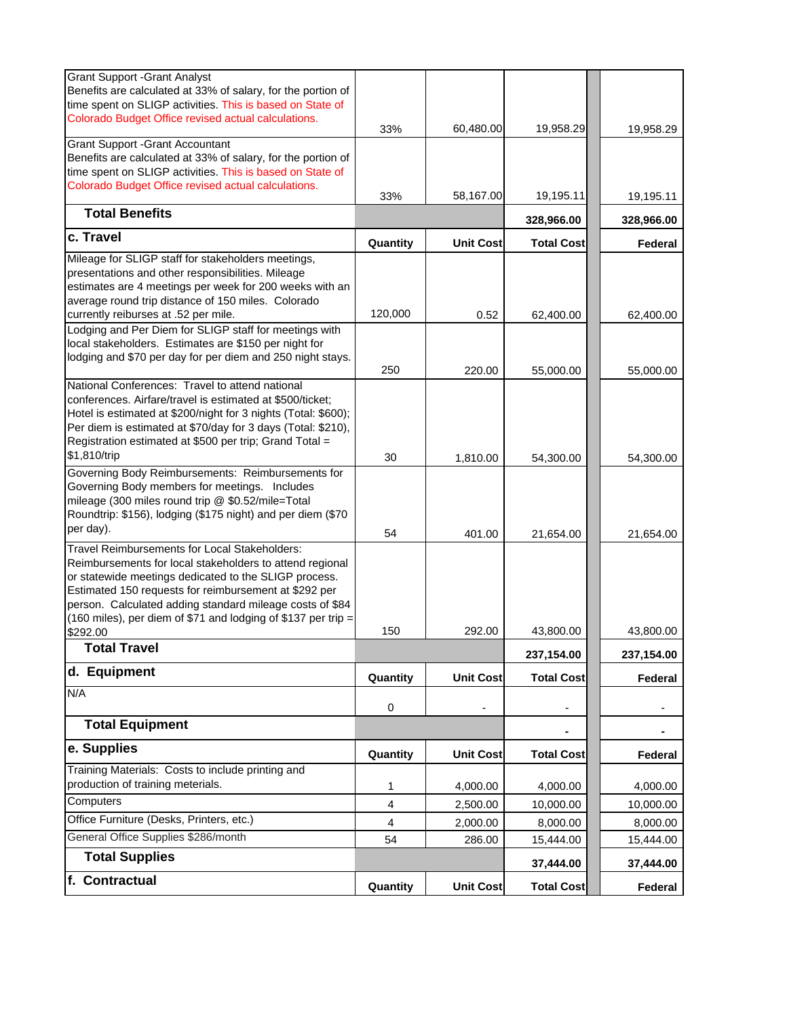| <b>Grant Support - Grant Analyst</b>                                                                                           |                         |                  |                   |            |
|--------------------------------------------------------------------------------------------------------------------------------|-------------------------|------------------|-------------------|------------|
| Benefits are calculated at 33% of salary, for the portion of<br>time spent on SLIGP activities. This is based on State of      |                         |                  |                   |            |
| Colorado Budget Office revised actual calculations.                                                                            |                         |                  |                   |            |
|                                                                                                                                | 33%                     | 60,480.00        | 19,958.29         | 19,958.29  |
| <b>Grant Support -Grant Accountant</b>                                                                                         |                         |                  |                   |            |
| Benefits are calculated at 33% of salary, for the portion of                                                                   |                         |                  |                   |            |
| time spent on SLIGP activities. This is based on State of                                                                      |                         |                  |                   |            |
| Colorado Budget Office revised actual calculations.                                                                            | 33%                     | 58,167.00        | 19,195.11         | 19,195.11  |
| <b>Total Benefits</b>                                                                                                          |                         |                  | 328,966.00        | 328,966.00 |
| c. Travel                                                                                                                      | Quantity                | <b>Unit Cost</b> | <b>Total Cost</b> | Federal    |
| Mileage for SLIGP staff for stakeholders meetings,                                                                             |                         |                  |                   |            |
| presentations and other responsibilities. Mileage                                                                              |                         |                  |                   |            |
| estimates are 4 meetings per week for 200 weeks with an                                                                        |                         |                  |                   |            |
| average round trip distance of 150 miles. Colorado                                                                             |                         |                  |                   |            |
| currently reiburses at .52 per mile.                                                                                           | 120,000                 | 0.52             | 62,400.00         | 62,400.00  |
| Lodging and Per Diem for SLIGP staff for meetings with                                                                         |                         |                  |                   |            |
| local stakeholders. Estimates are \$150 per night for                                                                          |                         |                  |                   |            |
| lodging and \$70 per day for per diem and 250 night stays.                                                                     |                         |                  |                   |            |
|                                                                                                                                | 250                     | 220.00           | 55,000.00         | 55,000.00  |
| National Conferences: Travel to attend national<br>conferences. Airfare/travel is estimated at \$500/ticket;                   |                         |                  |                   |            |
|                                                                                                                                |                         |                  |                   |            |
| Hotel is estimated at \$200/night for 3 nights (Total: \$600);<br>Per diem is estimated at \$70/day for 3 days (Total: \$210), |                         |                  |                   |            |
| Registration estimated at \$500 per trip; Grand Total =                                                                        |                         |                  |                   |            |
|                                                                                                                                |                         |                  |                   |            |
| \$1,810/trip                                                                                                                   | 30                      | 1,810.00         | 54,300.00         | 54,300.00  |
| Governing Body Reimbursements: Reimbursements for                                                                              |                         |                  |                   |            |
| Governing Body members for meetings. Includes                                                                                  |                         |                  |                   |            |
| mileage (300 miles round trip @ \$0.52/mile=Total                                                                              |                         |                  |                   |            |
| Roundtrip: \$156), lodging (\$175 night) and per diem (\$70                                                                    |                         |                  |                   |            |
| per day).                                                                                                                      | 54                      | 401.00           | 21,654.00         | 21,654.00  |
| Travel Reimbursements for Local Stakeholders:                                                                                  |                         |                  |                   |            |
| Reimbursements for local stakeholders to attend regional                                                                       |                         |                  |                   |            |
| or statewide meetings dedicated to the SLIGP process.                                                                          |                         |                  |                   |            |
| Estimated 150 requests for reimbursement at \$292 per                                                                          |                         |                  |                   |            |
| person. Calculated adding standard mileage costs of \$84                                                                       |                         |                  |                   |            |
| (160 miles), per diem of \$71 and lodging of \$137 per trip =                                                                  |                         |                  |                   |            |
| \$292.00                                                                                                                       | 150                     | 292.00           | 43,800.00         | 43,800.00  |
| Total Travel                                                                                                                   |                         |                  | 237,154.00        | 237,154.00 |
| d. Equipment                                                                                                                   | Quantity                | <b>Unit Cost</b> | <b>Total Cost</b> | Federal    |
| N/A                                                                                                                            | 0                       |                  |                   |            |
| <b>Total Equipment</b>                                                                                                         |                         |                  |                   | ۰          |
| e. Supplies                                                                                                                    | Quantity                | <b>Unit Cost</b> | <b>Total Cost</b> | Federal    |
| Training Materials: Costs to include printing and                                                                              |                         |                  |                   |            |
| production of training meterials.                                                                                              | 1                       | 4,000.00         | 4,000.00          | 4,000.00   |
| Computers                                                                                                                      | 4                       | 2,500.00         | 10,000.00         | 10,000.00  |
| Office Furniture (Desks, Printers, etc.)                                                                                       | $\overline{\mathbf{4}}$ | 2,000.00         | 8,000.00          | 8,000.00   |
| General Office Supplies \$286/month                                                                                            | 54                      | 286.00           | 15,444.00         | 15,444.00  |
| <b>Total Supplies</b>                                                                                                          |                         |                  | 37,444.00         | 37,444.00  |
| f. Contractual                                                                                                                 | Quantity                | <b>Unit Cost</b> | <b>Total Cost</b> | Federal    |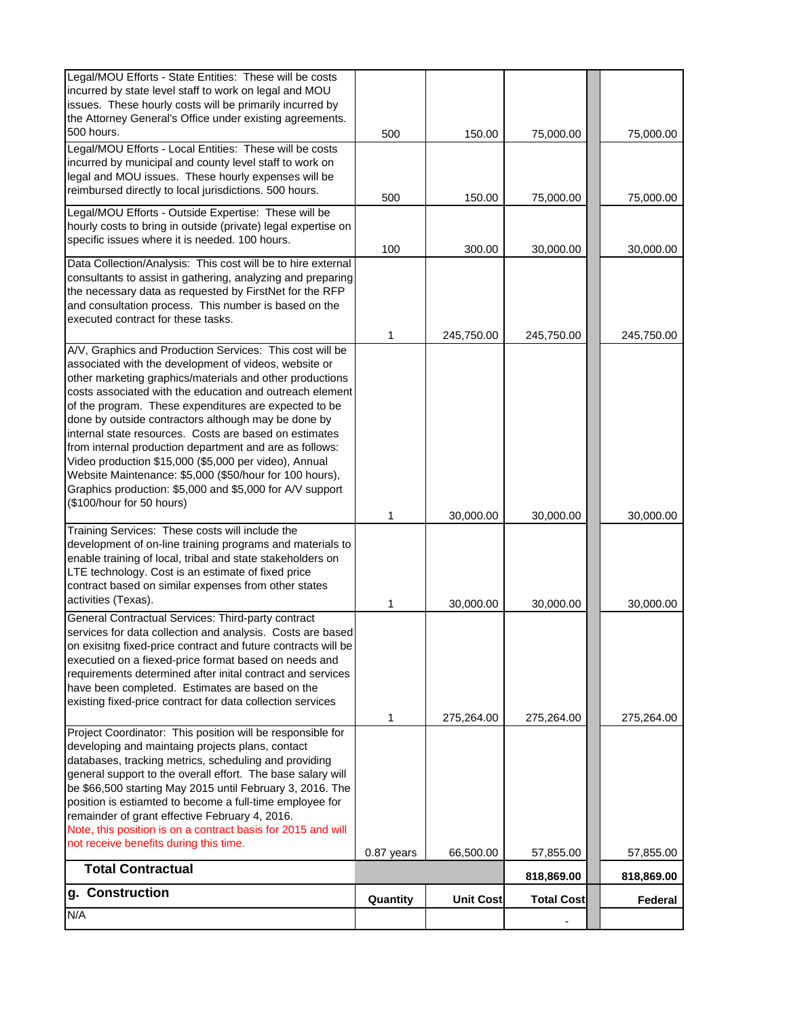| N/A                                                                                                                                                                                                                                                                                                                                                                                                                                                                                                        |            |                  |                   |            |
|------------------------------------------------------------------------------------------------------------------------------------------------------------------------------------------------------------------------------------------------------------------------------------------------------------------------------------------------------------------------------------------------------------------------------------------------------------------------------------------------------------|------------|------------------|-------------------|------------|
| g. Construction                                                                                                                                                                                                                                                                                                                                                                                                                                                                                            | Quantity   | <b>Unit Cost</b> | <b>Total Cost</b> | Federal    |
| <b>Total Contractual</b>                                                                                                                                                                                                                                                                                                                                                                                                                                                                                   |            |                  | 818,869.00        | 818,869.00 |
| not receive benefits during this time.                                                                                                                                                                                                                                                                                                                                                                                                                                                                     | 0.87 years | 66,500.00        | 57,855.00         | 57,855.00  |
| position is estiamted to become a full-time employee for<br>remainder of grant effective February 4, 2016.<br>Note, this position is on a contract basis for 2015 and will                                                                                                                                                                                                                                                                                                                                 |            |                  |                   |            |
| databases, tracking metrics, scheduling and providing<br>general support to the overall effort. The base salary will<br>be \$66,500 starting May 2015 until February 3, 2016. The                                                                                                                                                                                                                                                                                                                          |            |                  |                   |            |
| Project Coordinator: This position will be responsible for<br>developing and maintaing projects plans, contact                                                                                                                                                                                                                                                                                                                                                                                             |            |                  |                   |            |
| on exisitng fixed-price contract and future contracts will be<br>executied on a fiexed-price format based on needs and<br>requirements determined after inital contract and services<br>have been completed. Estimates are based on the<br>existing fixed-price contract for data collection services                                                                                                                                                                                                      | 1          | 275,264.00       | 275,264.00        | 275,264.00 |
| General Contractual Services: Third-party contract<br>services for data collection and analysis. Costs are based                                                                                                                                                                                                                                                                                                                                                                                           |            |                  |                   |            |
| Training Services: These costs will include the<br>development of on-line training programs and materials to<br>enable training of local, tribal and state stakeholders on<br>LTE technology. Cost is an estimate of fixed price<br>contract based on similar expenses from other states<br>activities (Texas).                                                                                                                                                                                            | 1          | 30,000.00        | 30,000.00         | 30,000.00  |
| costs associated with the education and outreach element<br>of the program. These expenditures are expected to be<br>done by outside contractors although may be done by<br>internal state resources. Costs are based on estimates<br>from internal production department and are as follows:<br>Video production \$15,000 (\$5,000 per video), Annual<br>Website Maintenance: \$5,000 (\$50/hour for 100 hours),<br>Graphics production: \$5,000 and \$5,000 for A/V support<br>(\$100/hour for 50 hours) | 1          | 30,000.00        | 30,000.00         | 30,000.00  |
| A/V, Graphics and Production Services: This cost will be<br>associated with the development of videos, website or<br>other marketing graphics/materials and other productions                                                                                                                                                                                                                                                                                                                              |            |                  |                   |            |
| and consultation process. This number is based on the<br>executed contract for these tasks.                                                                                                                                                                                                                                                                                                                                                                                                                | 1          | 245,750.00       | 245,750.00        | 245,750.00 |
| Data Collection/Analysis: This cost will be to hire external<br>consultants to assist in gathering, analyzing and preparing<br>the necessary data as requested by FirstNet for the RFP                                                                                                                                                                                                                                                                                                                     |            |                  |                   |            |
| Legal/MOU Efforts - Outside Expertise: These will be<br>hourly costs to bring in outside (private) legal expertise on<br>specific issues where it is needed. 100 hours.                                                                                                                                                                                                                                                                                                                                    | 100        | 300.00           | 30,000.00         | 30,000.00  |
| Legal/MOU Efforts - Local Entities: These will be costs<br>incurred by municipal and county level staff to work on<br>legal and MOU issues. These hourly expenses will be<br>reimbursed directly to local jurisdictions. 500 hours.                                                                                                                                                                                                                                                                        | 500        | 150.00           | 75,000.00         | 75,000.00  |
| Legal/MOU Efforts - State Entities: These will be costs<br>incurred by state level staff to work on legal and MOU<br>issues. These hourly costs will be primarily incurred by<br>the Attorney General's Office under existing agreements.<br>500 hours.                                                                                                                                                                                                                                                    | 500        | 150.00           | 75,000.00         | 75,000.00  |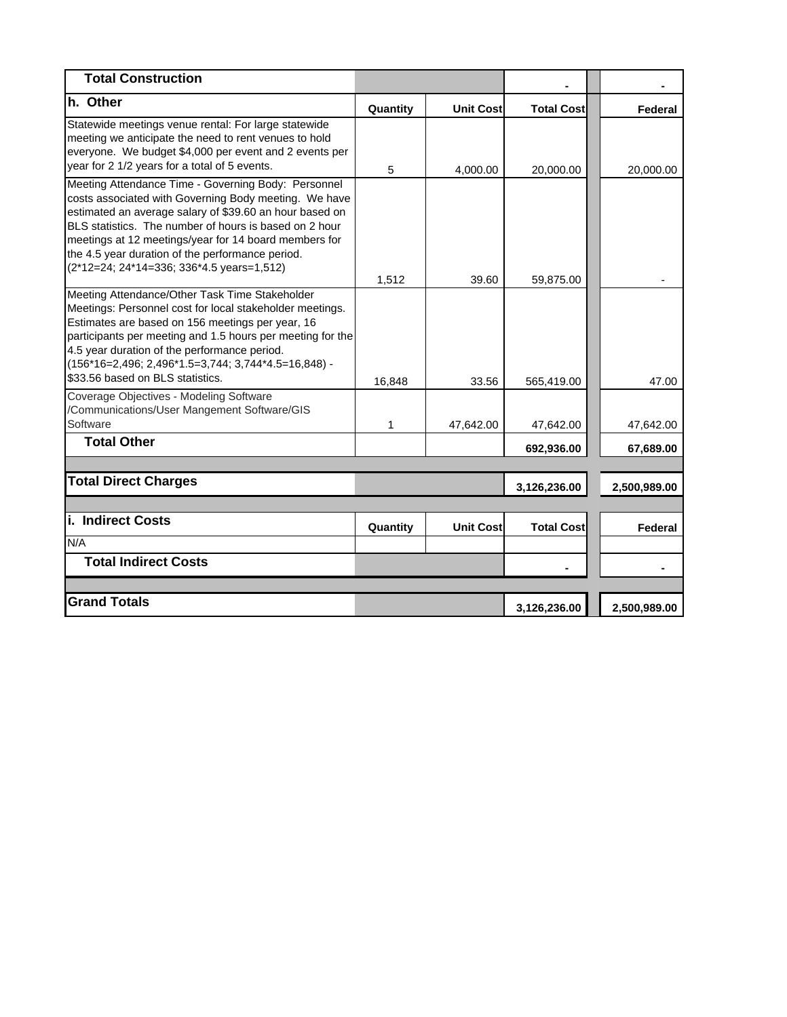| <b>Total Construction</b>                                                                                                                                                                                                                                                                                                                                                                   |          |                  |                   |              |
|---------------------------------------------------------------------------------------------------------------------------------------------------------------------------------------------------------------------------------------------------------------------------------------------------------------------------------------------------------------------------------------------|----------|------------------|-------------------|--------------|
| h. Other                                                                                                                                                                                                                                                                                                                                                                                    | Quantity | <b>Unit Cost</b> | <b>Total Cost</b> | Federal      |
| Statewide meetings venue rental: For large statewide<br>meeting we anticipate the need to rent venues to hold<br>everyone. We budget \$4,000 per event and 2 events per<br>year for 2 1/2 years for a total of 5 events.                                                                                                                                                                    | 5        | 4,000.00         | 20,000.00         | 20,000.00    |
| Meeting Attendance Time - Governing Body: Personnel<br>costs associated with Governing Body meeting. We have<br>estimated an average salary of \$39.60 an hour based on<br>BLS statistics. The number of hours is based on 2 hour<br>meetings at 12 meetings/year for 14 board members for<br>the 4.5 year duration of the performance period.<br>(2*12=24; 24*14=336; 336*4.5 years=1,512) | 1,512    | 39.60            | 59,875.00         |              |
| Meeting Attendance/Other Task Time Stakeholder<br>Meetings: Personnel cost for local stakeholder meetings.<br>Estimates are based on 156 meetings per year, 16<br>participants per meeting and 1.5 hours per meeting for the<br>4.5 year duration of the performance period.<br>(156*16=2,496; 2,496*1.5=3,744; 3,744*4.5=16,848) -<br>\$33.56 based on BLS statistics.                     | 16,848   | 33.56            | 565,419.00        | 47.00        |
| Coverage Objectives - Modeling Software<br>/Communications/User Mangement Software/GIS<br>Software                                                                                                                                                                                                                                                                                          | 1        | 47,642.00        | 47,642.00         | 47,642.00    |
| <b>Total Other</b>                                                                                                                                                                                                                                                                                                                                                                          |          |                  | 692,936.00        | 67,689.00    |
|                                                                                                                                                                                                                                                                                                                                                                                             |          |                  |                   |              |
| <b>Total Direct Charges</b>                                                                                                                                                                                                                                                                                                                                                                 |          |                  | 3,126,236.00      | 2,500,989.00 |
| i. Indirect Costs<br>N/A                                                                                                                                                                                                                                                                                                                                                                    | Quantity | <b>Unit Cost</b> | <b>Total Cost</b> | Federal      |
| <b>Total Indirect Costs</b>                                                                                                                                                                                                                                                                                                                                                                 |          |                  |                   |              |
|                                                                                                                                                                                                                                                                                                                                                                                             |          |                  |                   |              |
| <b>Grand Totals</b>                                                                                                                                                                                                                                                                                                                                                                         |          |                  | 3,126,236.00      | 2,500,989.00 |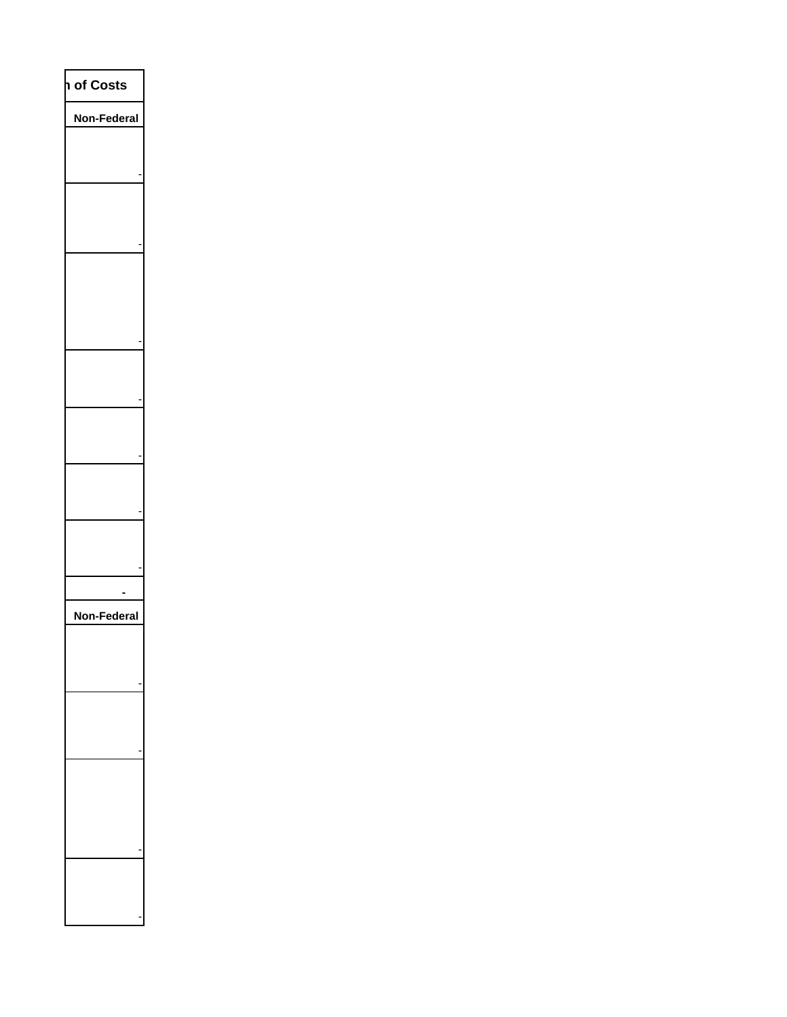| of Costs<br>I      |  |
|--------------------|--|
| Non-Federal        |  |
|                    |  |
|                    |  |
|                    |  |
|                    |  |
|                    |  |
|                    |  |
|                    |  |
|                    |  |
|                    |  |
|                    |  |
|                    |  |
|                    |  |
|                    |  |
|                    |  |
|                    |  |
|                    |  |
|                    |  |
|                    |  |
| <b>Non-Federal</b> |  |
|                    |  |
|                    |  |
|                    |  |
|                    |  |
|                    |  |
|                    |  |
|                    |  |
|                    |  |
|                    |  |
|                    |  |
|                    |  |
|                    |  |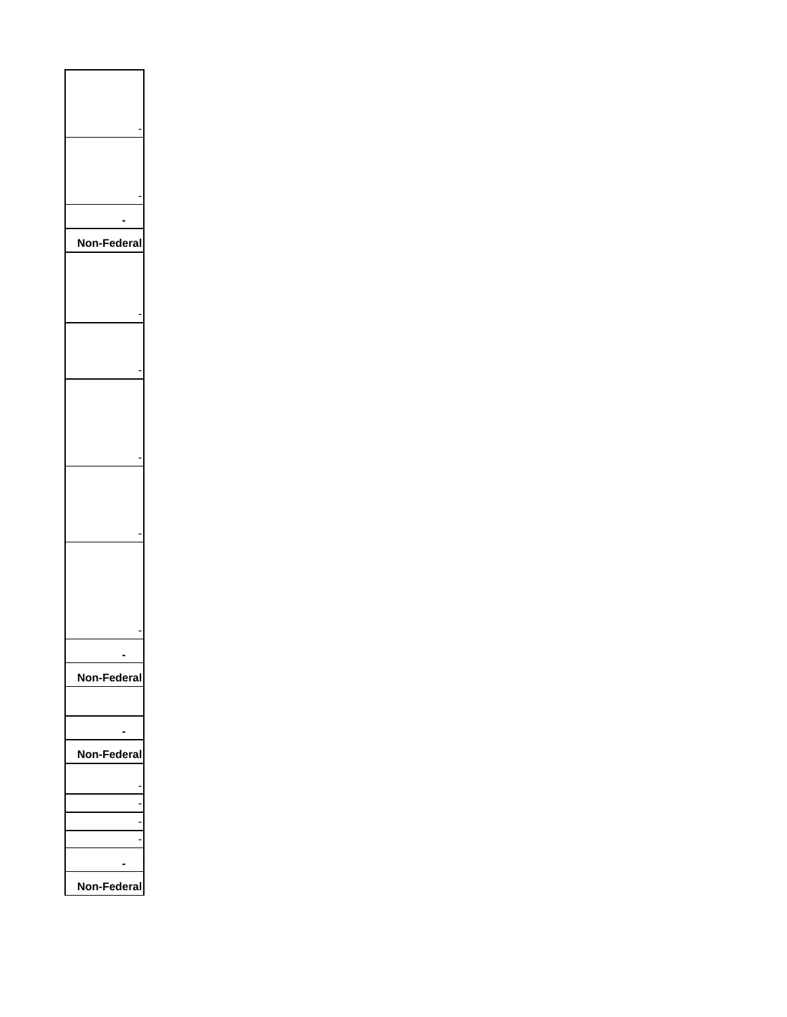| Non<br>ler<br>ĭ |
|-----------------|
|                 |
|                 |
|                 |
|                 |
|                 |
|                 |
|                 |
|                 |
|                 |
|                 |
|                 |
|                 |
| Non-Federal     |
|                 |
| Non-Federal     |
|                 |
|                 |
|                 |
|                 |
|                 |
| Non-Federal     |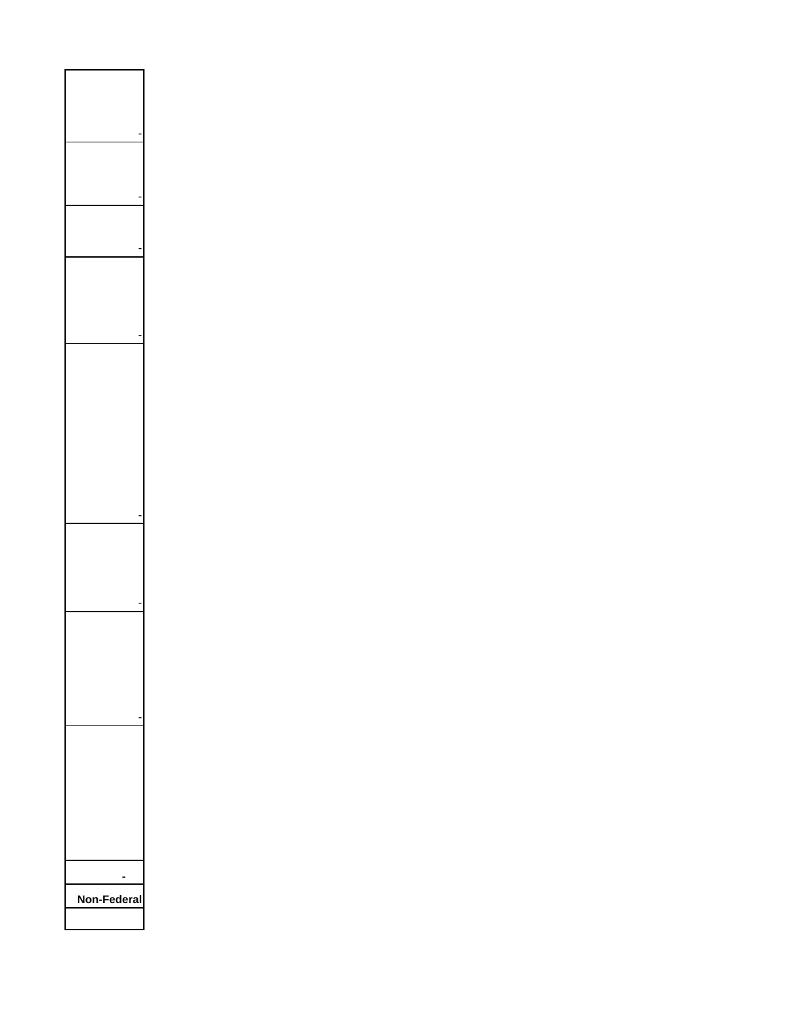| Non-Federal |  |
|-------------|--|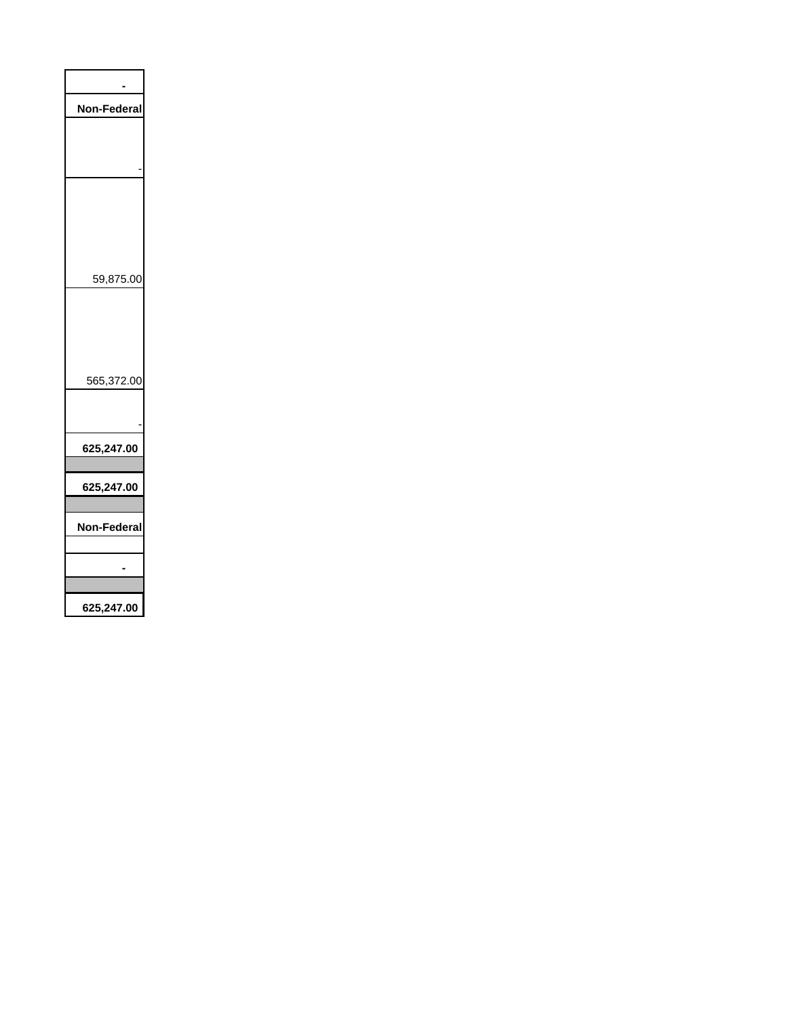| <b>Non-Federal</b> |
|--------------------|
|                    |
|                    |
|                    |
|                    |
|                    |
|                    |
|                    |
| 59,875.00          |
|                    |
|                    |
|                    |
| 565,372.00         |
|                    |
|                    |
| 625,247.00         |
|                    |
| 625,247.00         |
|                    |
| Non-Federal        |
|                    |
|                    |
| 625,247.00         |
|                    |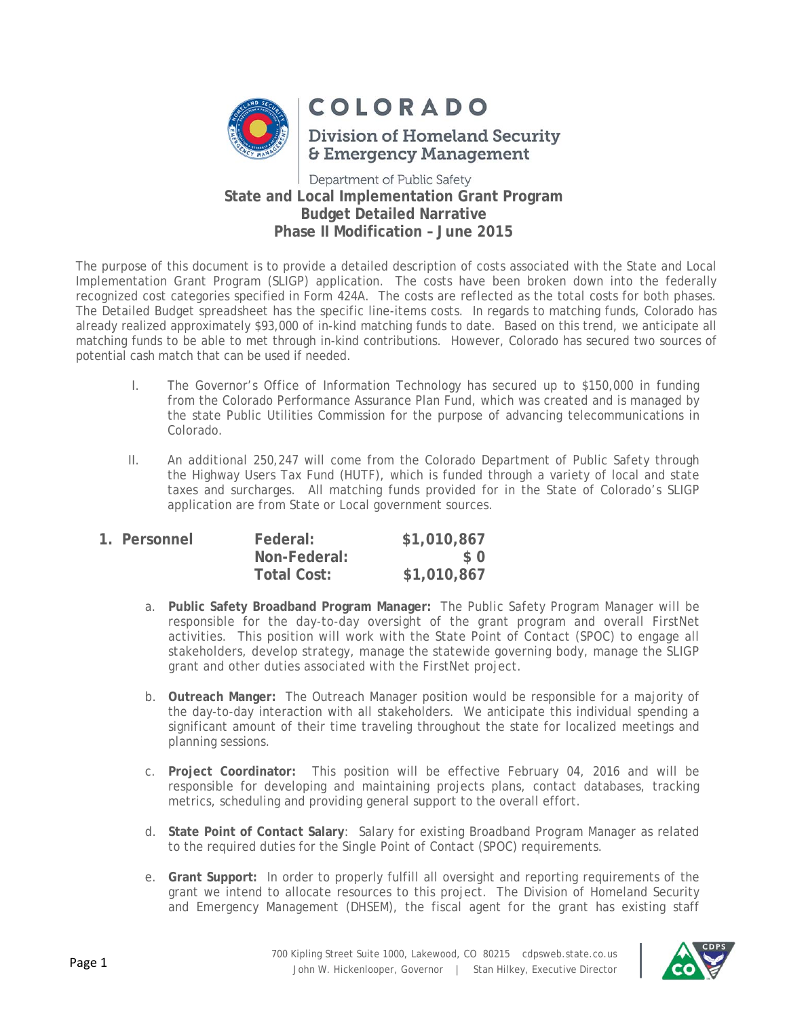

# **COLORADO**

**Division of Homeland Security & Emergency Management** 

## Department of Public Safety **State and Local Implementation Grant Program Budget Detailed Narrative Phase II Modification – June 2015**

The purpose of this document is to provide a detailed description of costs associated with the State and Local Implementation Grant Program (SLIGP) application. The costs have been broken down into the federally recognized cost categories specified in Form 424A. The costs are reflected as the total costs for both phases. The Detailed Budget spreadsheet has the specific line-items costs. In regards to matching funds, Colorado has already realized approximately \$93,000 of in-kind matching funds to date. Based on this trend, we anticipate all matching funds to be able to met through in-kind contributions. However, Colorado has secured two sources of potential cash match that can be used if needed.

- I. The Governor's Office of Information Technology has secured up to \$150,000 in funding from the Colorado Performance Assurance Plan Fund, which was created and is managed by the state Public Utilities Commission for the purpose of advancing telecommunications in Colorado.
- II. An additional 250,247 will come from the Colorado Department of Public Safety through the Highway Users Tax Fund (HUTF), which is funded through a variety of local and state taxes and surcharges. All matching funds provided for in the State of Colorado's SLIGP application are from State or Local government sources.

| 1. Personnel | Federal:           | \$1,010,867 |
|--------------|--------------------|-------------|
|              | Non-Federal:       | $\Omega$    |
|              | <b>Total Cost:</b> | \$1,010,867 |

- a. **Public Safety Broadband Program Manager:** The Public Safety Program Manager will be responsible for the day-to-day oversight of the grant program and overall FirstNet activities. This position will work with the State Point of Contact (SPOC) to engage all stakeholders, develop strategy, manage the statewide governing body, manage the SLIGP grant and other duties associated with the FirstNet project.
- b. **Outreach Manger:** The Outreach Manager position would be responsible for a majority of the day-to-day interaction with all stakeholders. We anticipate this individual spending a significant amount of their time traveling throughout the state for localized meetings and planning sessions.
- c. **Project Coordinator:** This position will be effective February 04, 2016 and will be responsible for developing and maintaining projects plans, contact databases, tracking metrics, scheduling and providing general support to the overall effort.
- d. **State Point of Contact Salary**: Salary for existing Broadband Program Manager as related to the required duties for the Single Point of Contact (SPOC) requirements.
- e. **Grant Support:** In order to properly fulfill all oversight and reporting requirements of the grant we intend to allocate resources to this project. The Division of Homeland Security and Emergency Management (DHSEM), the fiscal agent for the grant has existing staff

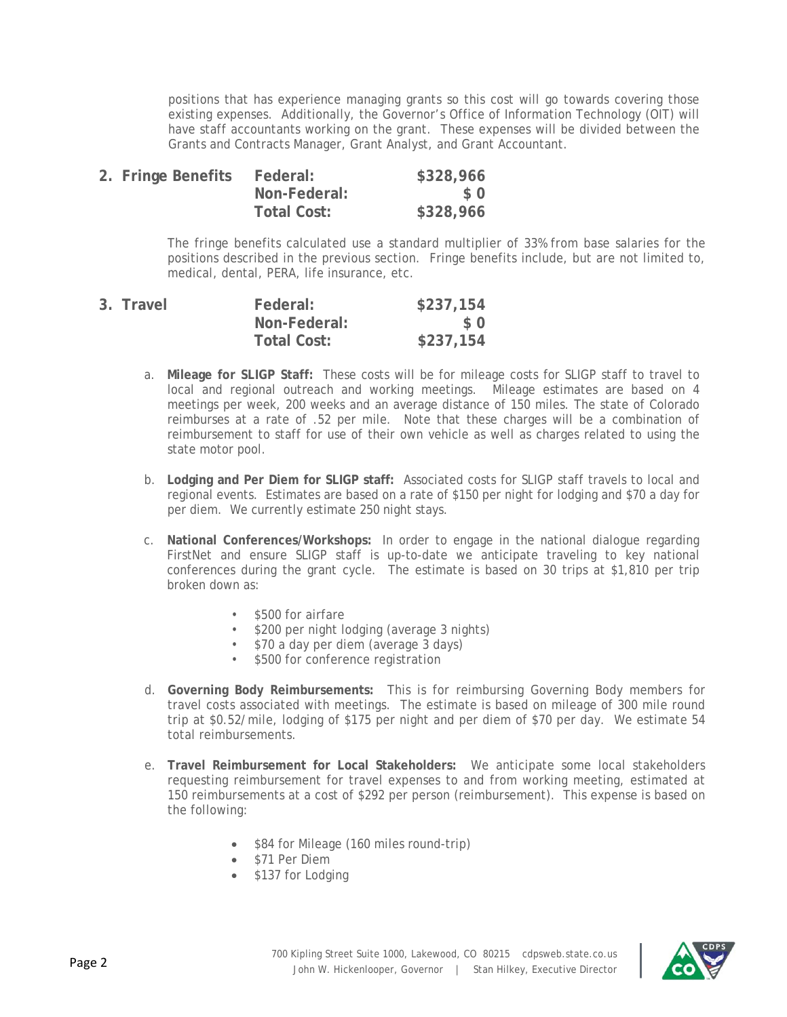positions that has experience managing grants so this cost will go towards covering those existing expenses. Additionally, the Governor's Office of Information Technology (OIT) will have staff accountants working on the grant. These expenses will be divided between the Grants and Contracts Manager, Grant Analyst, and Grant Accountant.

| 2. Fringe Benefits | Federal:     | \$328,966      |
|--------------------|--------------|----------------|
|                    | Non-Federal: | S <sub>0</sub> |
|                    | Total Cost:  | \$328,966      |

The fringe benefits calculated use a standard multiplier of 33% from base salaries for the positions described in the previous section. Fringe benefits include, but are not limited to, medical, dental, PERA, life insurance, etc.

| 3. Travel | Federal:     | \$237,154 |
|-----------|--------------|-----------|
|           | Non-Federal: | $\Omega$  |
|           | Total Cost:  | \$237,154 |

- a. **Mileage for SLIGP Staff:** These costs will be for mileage costs for SLIGP staff to travel to local and regional outreach and working meetings. Mileage estimates are based on 4 meetings per week, 200 weeks and an average distance of 150 miles. The state of Colorado reimburses at a rate of .52 per mile. Note that these charges will be a combination of reimbursement to staff for use of their own vehicle as well as charges related to using the state motor pool.
- b. **Lodging and Per Diem for SLIGP staff:** Associated costs for SLIGP staff travels to local and regional events. Estimates are based on a rate of \$150 per night for lodging and \$70 a day for per diem. We currently estimate 250 night stays.
- c. **National Conferences/Workshops:** In order to engage in the national dialogue regarding FirstNet and ensure SLIGP staff is up-to-date we anticipate traveling to key national conferences during the grant cycle. The estimate is based on 30 trips at \$1,810 per trip broken down as:
	- \$500 for airfare
	- \$200 per night lodging (average 3 nights)
	- \$70 a day per diem (average 3 days)
	- \$500 for conference registration
- d. **Governing Body Reimbursements:** This is for reimbursing Governing Body members for travel costs associated with meetings. The estimate is based on mileage of 300 mile round trip at \$0.52/mile, lodging of \$175 per night and per diem of \$70 per day. We estimate 54 total reimbursements.
- e. **Travel Reimbursement for Local Stakeholders:** We anticipate some local stakeholders requesting reimbursement for travel expenses to and from working meeting, estimated at 150 reimbursements at a cost of \$292 per person (reimbursement). This expense is based on the following:
	- \$84 for Mileage (160 miles round-trip)
	- \$71 Per Diem
	- \$137 for Lodging

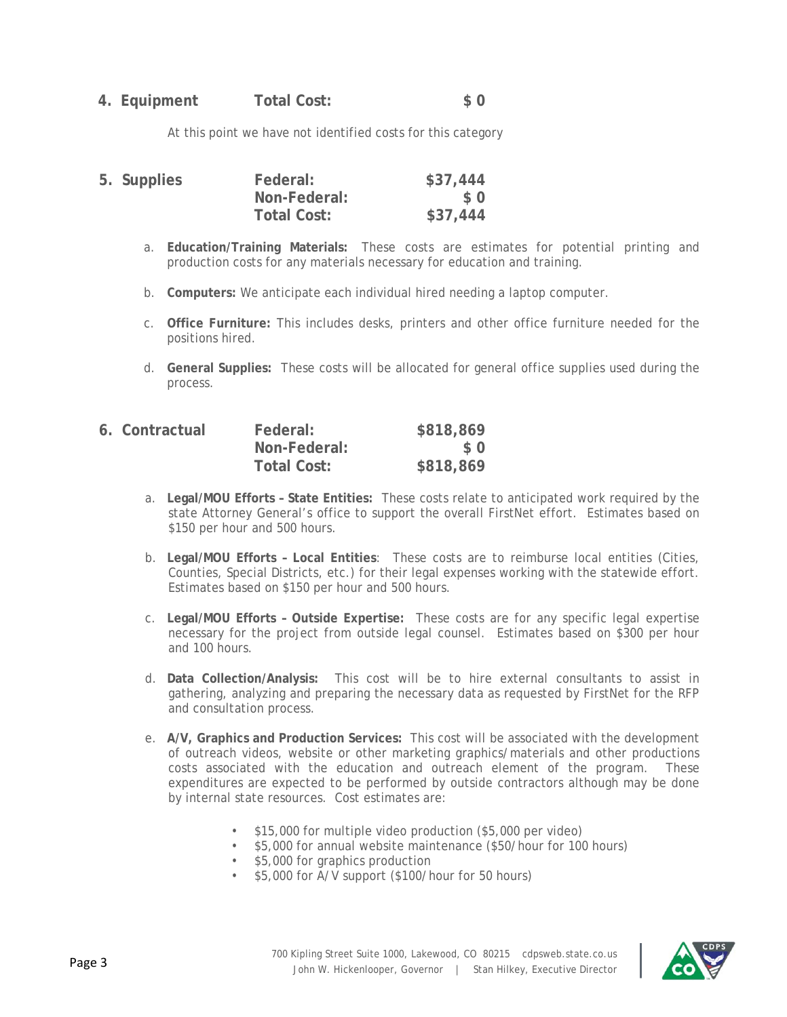## **4. Equipment Total Cost: \$ 0**

At this point we have not identified costs for this category

| 5. Supplies | Federal:           | \$37,444 |
|-------------|--------------------|----------|
|             | Non-Federal:       | S O      |
|             | <b>Total Cost:</b> | \$37,444 |

- a. **Education/Training Materials:** These costs are estimates for potential printing and production costs for any materials necessary for education and training.
- b. **Computers:** We anticipate each individual hired needing a laptop computer.
- c. **Office Furniture:** This includes desks, printers and other office furniture needed for the positions hired.
- d. **General Supplies:** These costs will be allocated for general office supplies used during the process.

| 6. Contractual | Federal:     | \$818,869 |
|----------------|--------------|-----------|
|                | Non-Federal: | $\Omega$  |
|                | Total Cost:  | \$818,869 |

- a. **Legal/MOU Efforts State Entities:** These costs relate to anticipated work required by the state Attorney General's office to support the overall FirstNet effort. Estimates based on \$150 per hour and 500 hours.
- b. **Legal/MOU Efforts – Local Entities**: These costs are to reimburse local entities (Cities, Counties, Special Districts, etc.) for their legal expenses working with the statewide effort. Estimates based on \$150 per hour and 500 hours.
- c. **Legal/MOU Efforts Outside Expertise:** These costs are for any specific legal expertise necessary for the project from outside legal counsel. Estimates based on \$300 per hour and 100 hours.
- d. **Data Collection/Analysis:** This cost will be to hire external consultants to assist in gathering, analyzing and preparing the necessary data as requested by FirstNet for the RFP and consultation process.
- e. **A/V, Graphics and Production Services:** This cost will be associated with the development of outreach videos, website or other marketing graphics/materials and other productions costs associated with the education and outreach element of the program. These expenditures are expected to be performed by outside contractors although may be done by internal state resources. Cost estimates are:
	- \$15,000 for multiple video production (\$5,000 per video)
	- \$5,000 for annual website maintenance (\$50/hour for 100 hours)
	- \$5,000 for graphics production
	- \$5,000 for A/V support (\$100/hour for 50 hours)

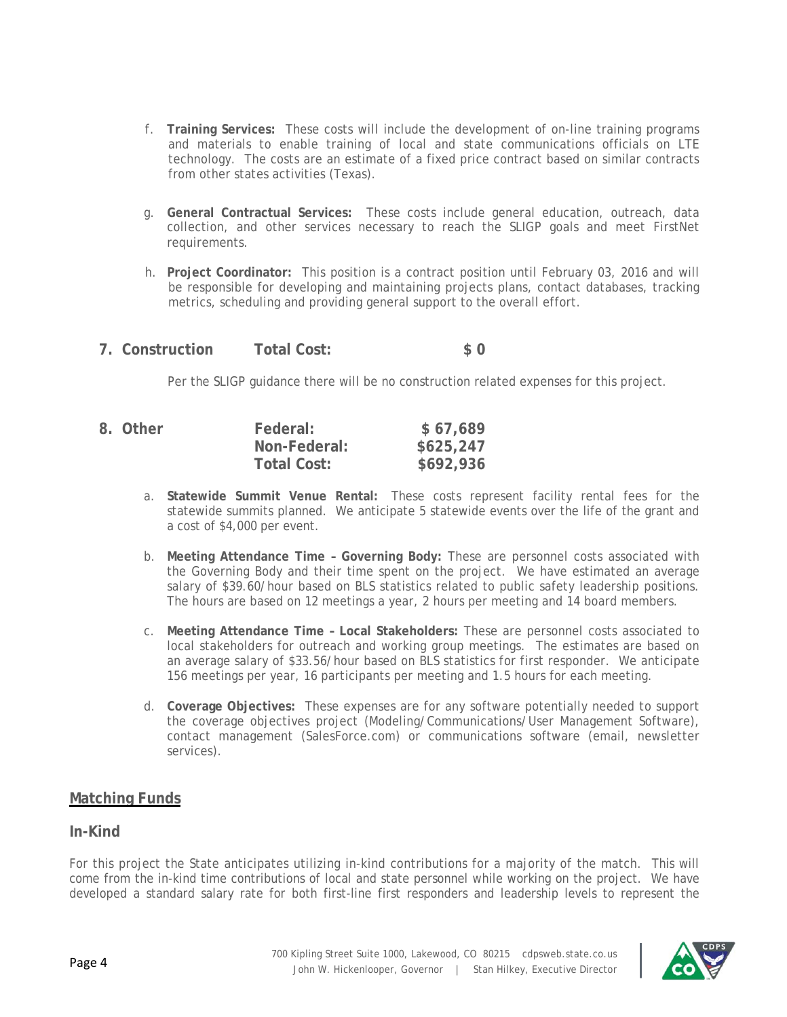- f. **Training Services:** These costs will include the development of on-line training programs and materials to enable training of local and state communications officials on LTE technology. The costs are an estimate of a fixed price contract based on similar contracts from other states activities (Texas).
- g. **General Contractual Services:** These costs include general education, outreach, data collection, and other services necessary to reach the SLIGP goals and meet FirstNet requirements.
- h. **Project Coordinator:** This position is a contract position until February 03, 2016 and will be responsible for developing and maintaining projects plans, contact databases, tracking metrics, scheduling and providing general support to the overall effort.
- **7. Construction Total Cost: \$ 0**

Per the SLIGP guidance there will be no construction related expenses for this project.

| 8. Other | Federal:     | \$67,689  |
|----------|--------------|-----------|
|          | Non-Federal: | \$625,247 |
|          | Total Cost:  | \$692,936 |

- a. **Statewide Summit Venue Rental:** These costs represent facility rental fees for the statewide summits planned. We anticipate 5 statewide events over the life of the grant and a cost of \$4,000 per event.
- b. **Meeting Attendance Time Governing Body:** These are personnel costs associated with the Governing Body and their time spent on the project. We have estimated an average salary of \$39.60/hour based on BLS statistics related to public safety leadership positions. The hours are based on 12 meetings a year, 2 hours per meeting and 14 board members.
- c. **Meeting Attendance Time Local Stakeholders:** These are personnel costs associated to local stakeholders for outreach and working group meetings. The estimates are based on an average salary of \$33.56/hour based on BLS statistics for first responder. We anticipate 156 meetings per year, 16 participants per meeting and 1.5 hours for each meeting.
- d. **Coverage Objectives:** These expenses are for any software potentially needed to support the coverage objectives project (Modeling/Communications/User Management Software), contact management (SalesForce.com) or communications software (email, newsletter services).

## **Matching Funds**

## **In-Kind**

For this project the State anticipates utilizing in-kind contributions for a majority of the match. This will come from the in-kind time contributions of local and state personnel while working on the project. We have developed a standard salary rate for both first-line first responders and leadership levels to represent the

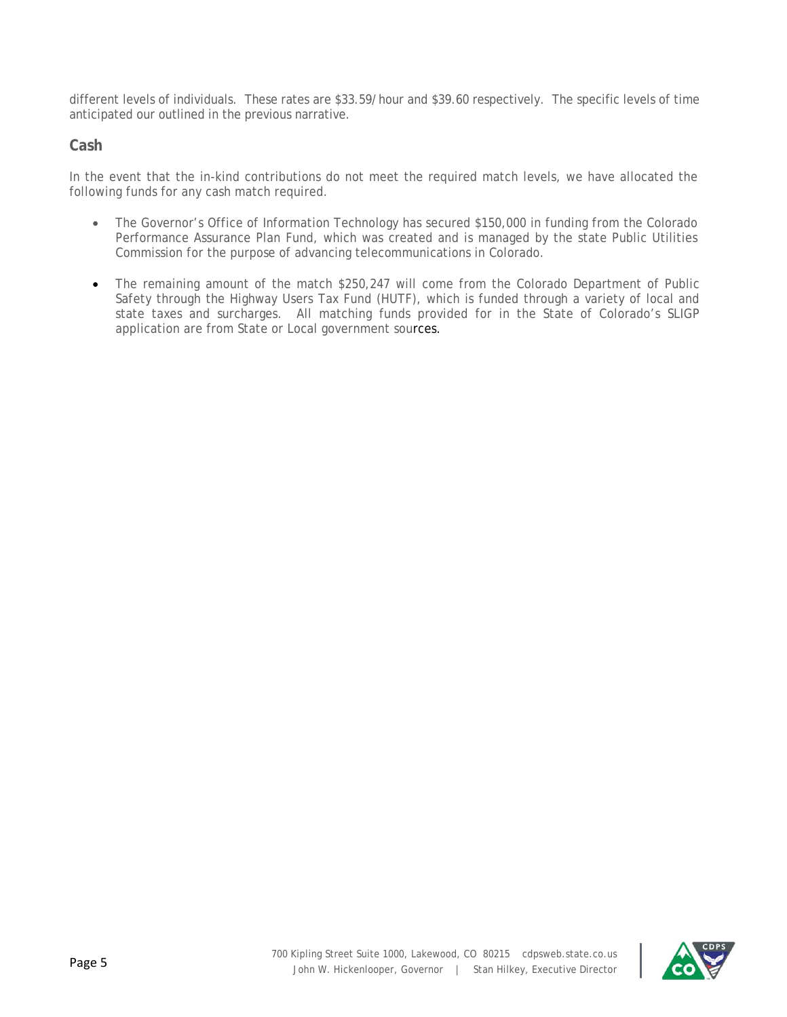different levels of individuals. These rates are \$33.59/hour and \$39.60 respectively. The specific levels of time anticipated our outlined in the previous narrative.

## **Cash**

In the event that the in-kind contributions do not meet the required match levels, we have allocated the following funds for any cash match required.

- The Governor's Office of Information Technology has secured \$150,000 in funding from the Colorado Performance Assurance Plan Fund, which was created and is managed by the state Public Utilities Commission for the purpose of advancing telecommunications in Colorado.
- The remaining amount of the match \$250,247 will come from the Colorado Department of Public Safety through the Highway Users Tax Fund (HUTF), which is funded through a variety of local and state taxes and surcharges. All matching funds provided for in the State of Colorado's SLIGP application are from State or Local government sources.

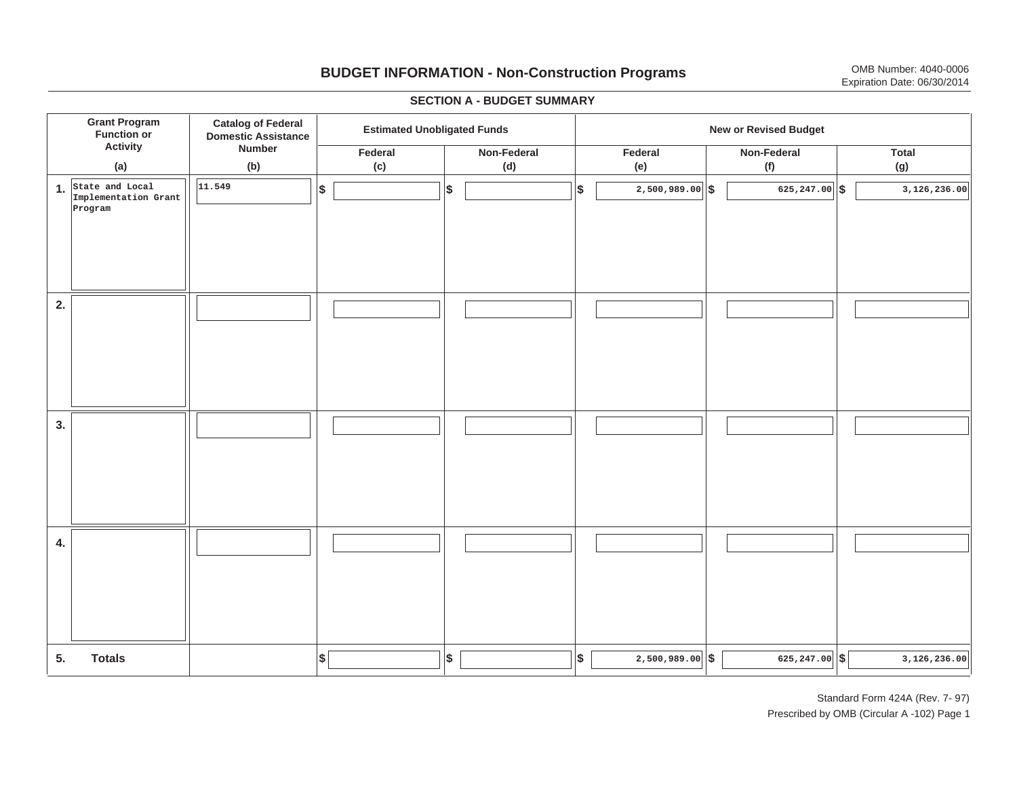# **BUDGET INFORMATION - Non-Construction Programs** OMB Number: 4040-0006 Expiration Date: 06/30/2014

**\$ Grant Program Function or Activity (a) Catalog of Federal Domestic Assistance Number (b) Estimated Unobligated Funds New or Revised Budget Federal(c) Non-Federal(d) Federal(e) Non-Federal (f) Total(g) 5. Totals4. 3. 2. 1.State and Local \$\$\$\$ \$ \$ \$ \$ \$ 2,500,989.00 625,247.00 3,126,236.00 Implementation Grant Program 11.5492,500,989.00 625,247.00 3,126,236.00**

#### **SECTION A - BUDGET SUMMARY**

Standard Form 424A (Rev. 7- 97) Prescribed by OMB (Circular A -102) Page 1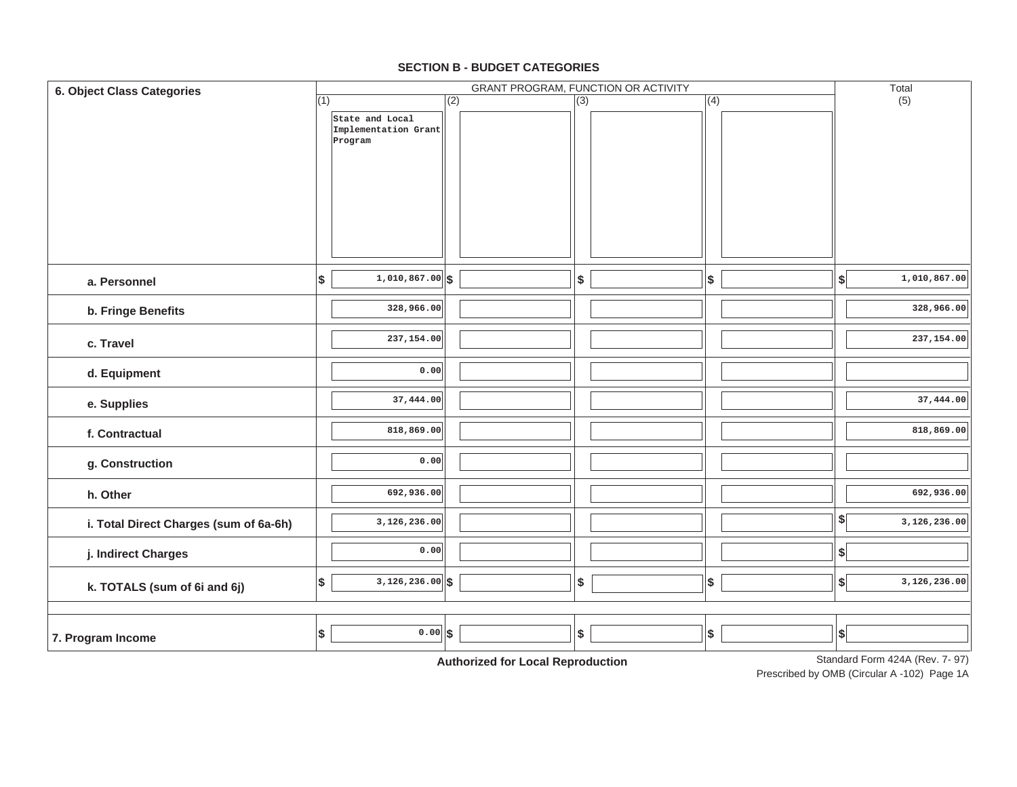| 6. Object Class Categories             |            |                                                    | GRANT PROGRAM, FUNCTION OR ACTIVITY |                                              |     |  |               |  |                              | Total                           |  |  |  |
|----------------------------------------|------------|----------------------------------------------------|-------------------------------------|----------------------------------------------|-----|--|---------------|--|------------------------------|---------------------------------|--|--|--|
|                                        | (1)        | State and Local<br>Implementation Grant<br>Program | (2)                                 |                                              | (3) |  | (4)           |  |                              | (5)                             |  |  |  |
| a. Personnel                           | $\vert$ \$ | $1,010,867.00$ \$                                  |                                     |                                              | \$  |  | $\frac{1}{2}$ |  | $\left  \cdot \right $       | 1,010,867.00                    |  |  |  |
| b. Fringe Benefits                     |            | 328,966.00                                         |                                     |                                              |     |  |               |  |                              | 328,966.00                      |  |  |  |
|                                        |            |                                                    |                                     |                                              |     |  |               |  |                              |                                 |  |  |  |
| c. Travel                              |            | 237,154.00                                         |                                     |                                              |     |  |               |  |                              | 237,154.00                      |  |  |  |
| d. Equipment                           |            | 0.00                                               |                                     |                                              |     |  |               |  |                              |                                 |  |  |  |
| e. Supplies                            |            | 37,444.00                                          |                                     |                                              |     |  |               |  |                              | 37,444.00                       |  |  |  |
| f. Contractual                         |            | 818,869.00                                         |                                     |                                              |     |  |               |  |                              | 818,869.00                      |  |  |  |
| g. Construction                        |            | 0.00                                               |                                     |                                              |     |  |               |  |                              |                                 |  |  |  |
| h. Other                               |            | 692,936.00                                         |                                     |                                              |     |  |               |  |                              | 692,936.00                      |  |  |  |
| i. Total Direct Charges (sum of 6a-6h) |            | 3,126,236.00                                       |                                     |                                              |     |  |               |  | $\left  \frac{1}{2} \right $ | 3,126,236.00                    |  |  |  |
| j. Indirect Charges                    |            | 0.00                                               |                                     |                                              |     |  |               |  | $\left  \right $             |                                 |  |  |  |
| k. TOTALS (sum of 6i and 6j)           | $\vert$ \$ | $3,126,236.00$ \$                                  |                                     |                                              | \$  |  | $\vert$ \$    |  | \$                           | 3,126,236.00                    |  |  |  |
| 7. Program Income                      | \$         | $0.00$ \$                                          |                                     | A contraction of the officer<br>$-1 - 2 - 1$ | \$  |  | \$            |  | $ \$$                        | Standard Form 424A (Rev. 7, 97) |  |  |  |

### **SECTION B - BUDGET CATEGORIES**

**Authorized for Local Reproduction**

Standard Form 424A (Rev. 7- 97)

Prescribed by OMB (Circular A -102) Page 1A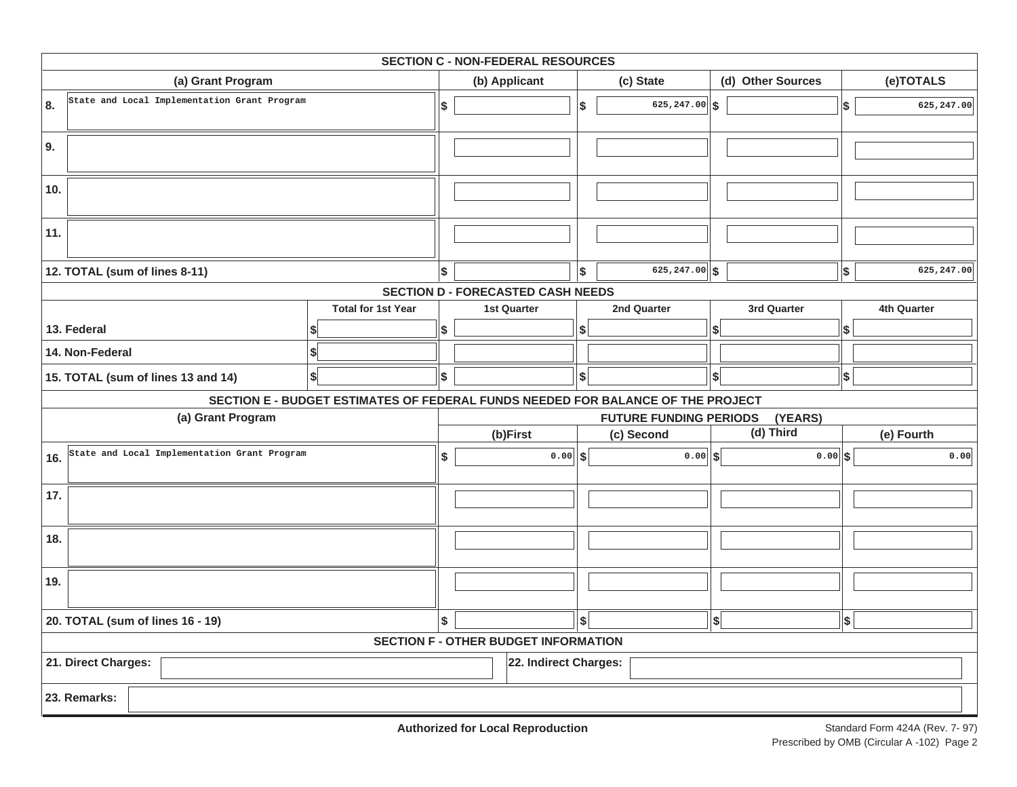|                                  | <b>SECTION C - NON-FEDERAL RESOURCES</b>     |                                                                                 |                                          |                                             |           |                  |                    |                   |             |             |  |  |  |  |
|----------------------------------|----------------------------------------------|---------------------------------------------------------------------------------|------------------------------------------|---------------------------------------------|-----------|------------------|--------------------|-------------------|-------------|-------------|--|--|--|--|
|                                  | (a) Grant Program                            |                                                                                 |                                          | (b) Applicant                               | (c) State |                  |                    | (d) Other Sources |             | (e)TOTALS   |  |  |  |  |
| 8.                               | State and Local Implementation Grant Program |                                                                                 | \$                                       |                                             | '\$       | 625,247.00       | \$                 |                   | \$          | 625,247.00  |  |  |  |  |
| 9.                               |                                              |                                                                                 |                                          |                                             |           |                  |                    |                   |             |             |  |  |  |  |
| 10.                              |                                              |                                                                                 |                                          |                                             |           |                  |                    |                   |             |             |  |  |  |  |
| 11.                              |                                              |                                                                                 |                                          |                                             |           |                  |                    |                   |             |             |  |  |  |  |
|                                  | 12. TOTAL (sum of lines 8-11)                |                                                                                 | \$                                       |                                             | \$        | $625, 247.00$ \$ |                    |                   | \$          | 625, 247.00 |  |  |  |  |
|                                  |                                              |                                                                                 |                                          | <b>SECTION D - FORECASTED CASH NEEDS</b>    |           |                  |                    |                   |             |             |  |  |  |  |
|                                  |                                              | <b>Total for 1st Year</b>                                                       |                                          | <b>1st Quarter</b>                          |           | 2nd Quarter      |                    | 3rd Quarter       | 4th Quarter |             |  |  |  |  |
|                                  | 13. Federal                                  |                                                                                 | \$                                       |                                             | \$        |                  | \$                 |                   | \$          |             |  |  |  |  |
|                                  | 14. Non-Federal                              | \$                                                                              |                                          |                                             |           |                  |                    |                   |             |             |  |  |  |  |
|                                  | 15. TOTAL (sum of lines 13 and 14)           | \$                                                                              | \$                                       |                                             | \$        |                  | $\vert$ \$ $\vert$ |                   | $\vert$ \$  |             |  |  |  |  |
|                                  |                                              | SECTION E - BUDGET ESTIMATES OF FEDERAL FUNDS NEEDED FOR BALANCE OF THE PROJECT |                                          |                                             |           |                  |                    |                   |             |             |  |  |  |  |
|                                  | (a) Grant Program                            |                                                                                 | <b>FUTURE FUNDING PERIODS</b><br>(YEARS) |                                             |           |                  |                    |                   |             |             |  |  |  |  |
|                                  |                                              |                                                                                 |                                          | (b)First                                    |           | (c) Second       |                    | (d) Third         |             | (e) Fourth  |  |  |  |  |
| 16.                              | State and Local Implementation Grant Program |                                                                                 | \$                                       | $0.00$ \$                                   |           | 0.00             | <b>S</b>           | $0.00$ \$         |             | 0.00        |  |  |  |  |
| 17.                              |                                              |                                                                                 |                                          |                                             |           |                  |                    |                   |             |             |  |  |  |  |
| 18.                              |                                              |                                                                                 |                                          |                                             |           |                  |                    |                   |             |             |  |  |  |  |
| 19.                              |                                              |                                                                                 |                                          |                                             |           |                  |                    |                   |             |             |  |  |  |  |
| 20. TOTAL (sum of lines 16 - 19) |                                              |                                                                                 |                                          |                                             | \$        |                  | $\left  \right $   |                   | \$          |             |  |  |  |  |
|                                  |                                              |                                                                                 |                                          | <b>SECTION F - OTHER BUDGET INFORMATION</b> |           |                  |                    |                   |             |             |  |  |  |  |
|                                  | 21. Direct Charges:                          |                                                                                 |                                          | 22. Indirect Charges:                       |           |                  |                    |                   |             |             |  |  |  |  |
|                                  | 23. Remarks:                                 |                                                                                 |                                          |                                             |           |                  |                    |                   |             |             |  |  |  |  |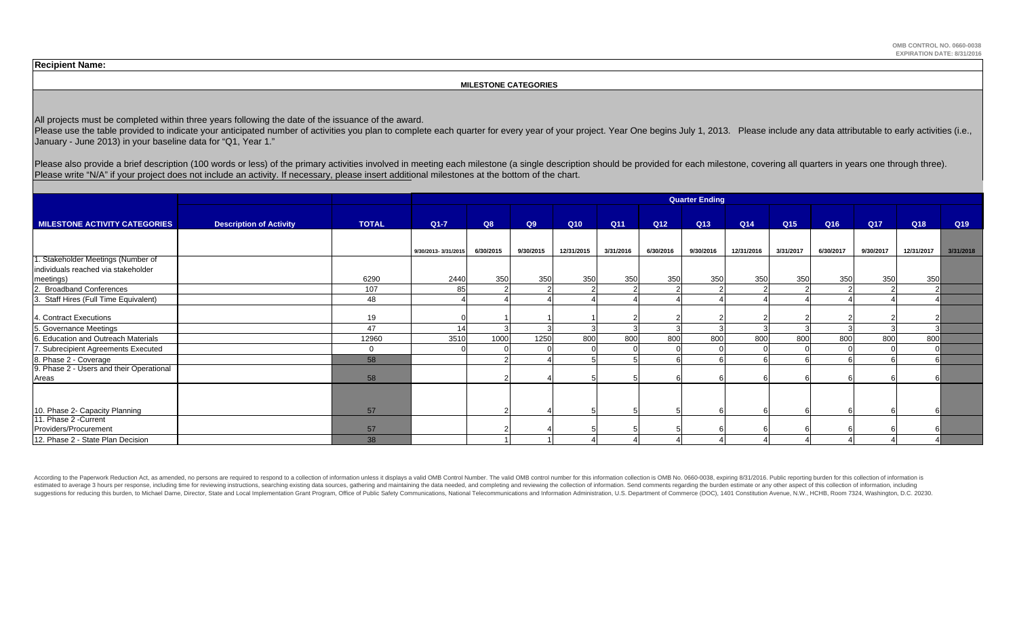**OMB CONTROL NO. 0660-0038 EXPIRATION DATE: 8/31/2016**

**Recipient Name:** 

#### **MILESTONE CATEGORIES**

All projects must be completed within three years following the date of the issuance of the award.

Please use the table provided to indicate your anticipated number of activities you plan to complete each quarter for every year of your project. Year One begins July 1, 2013. Please include any data attributable to early January - June 2013) in your baseline data for "Q1, Year 1."

Please also provide a brief description (100 words or less) of the primary activities involved in meeting each milestone (a single description should be provided for each milestone, covering all quarters in years one throu Please write "N/A" if your project does not include an activity. If necessary, please insert additional milestones at the bottom of the chart.

|                                                   |                                |              | <b>Quarter Ending</b> |           |           |            |           |                 |           |            |                 |                 |           |            |           |
|---------------------------------------------------|--------------------------------|--------------|-----------------------|-----------|-----------|------------|-----------|-----------------|-----------|------------|-----------------|-----------------|-----------|------------|-----------|
| <b>MILESTONE ACTIVITY CATEGORIES</b>              | <b>Description of Activity</b> | <b>TOTAL</b> | $Q1 - 7$              | Q8        | Q9        | Q10        | Q11       | Q <sub>12</sub> | Q13       | Q14        | Q <sub>15</sub> | Q <sub>16</sub> | Q17       | Q18        | Q19       |
|                                                   |                                |              |                       |           |           |            |           |                 |           |            |                 |                 |           |            |           |
|                                                   |                                |              |                       |           |           |            |           |                 |           |            |                 |                 |           |            |           |
|                                                   |                                |              | 9/30/2013-3/31/2015   | 6/30/2015 | 9/30/2015 | 12/31/2015 | 3/31/2016 | 6/30/2016       | 9/30/2016 | 12/31/2016 | 3/31/2017       | 6/30/2017       | 9/30/2017 | 12/31/2017 | 3/31/2018 |
| . Stakeholder Meetings (Number of                 |                                |              |                       |           |           |            |           |                 |           |            |                 |                 |           |            |           |
| individuals reached via stakeholder               |                                |              |                       |           |           |            |           |                 |           |            |                 |                 |           |            |           |
| meetings)                                         |                                | 6290         | 2440                  | 350       | 350       | 350        | 350       | 350             | 350       | 350        | 350             | 350             | 350       | 350        |           |
| <b>Broadband Conferences</b>                      |                                | 107          | 8!                    |           |           |            |           |                 |           |            |                 |                 |           |            |           |
| . Staff Hires (Full Time Equivalent)              |                                | 48           |                       |           |           |            |           |                 |           |            |                 |                 |           |            |           |
| 4. Contract Executions                            |                                | 19           |                       |           |           |            |           |                 |           |            |                 |                 |           |            |           |
| 5. Governance Meetings                            |                                | 47           |                       |           |           |            |           |                 |           |            |                 |                 |           |            |           |
| 6. Education and Outreach Materials               |                                | 12960        | 3510                  | 1000      | 1250      | 800        | 800       | 800             | 800       | 800        | 800             | 800             | 800       | 800        |           |
| Subrecipient Agreements Executed                  |                                | $\Omega$     |                       |           |           |            |           |                 |           |            |                 |                 |           |            |           |
| 8. Phase 2 - Coverage                             |                                | 58           |                       |           |           |            |           |                 |           |            |                 |                 |           |            |           |
| 9. Phase 2 - Users and their Operational<br>Areas |                                | 58           |                       |           |           |            |           |                 |           |            |                 |                 |           |            |           |
|                                                   |                                |              |                       |           |           |            |           |                 |           |            |                 |                 |           |            |           |
|                                                   |                                |              |                       |           |           |            |           |                 |           |            |                 |                 |           |            |           |
| 10. Phase 2- Capacity Planning                    |                                | 57           |                       |           |           |            |           |                 |           |            |                 |                 |           |            |           |
| 11. Phase 2 - Current                             |                                |              |                       |           |           |            |           |                 |           |            |                 |                 |           |            |           |
| Providers/Procurement                             |                                | 57           |                       |           |           |            |           |                 |           |            |                 |                 |           |            |           |
| 12. Phase 2 - State Plan Decision                 |                                | 38           |                       |           |           |            |           |                 |           |            |                 |                 |           |            |           |

According to the Paperwork Reduction Act, as amended, no persons are required to respond to a collection of information unless it displays a valid OMB Control Number. The valid OMB control number for this information colle estimated to average 3 hours per response, including time for reviewing instructions, searching existing data sources, gathering and maintaining the data needed, and completing and reviewing the collection of information. suggestions for reducing this burden, to Michael Dame, Director, State and Local Implementation Grant Program, Office of Public Safety Communications, National Telecommunications and Information Administration, U.S. Depart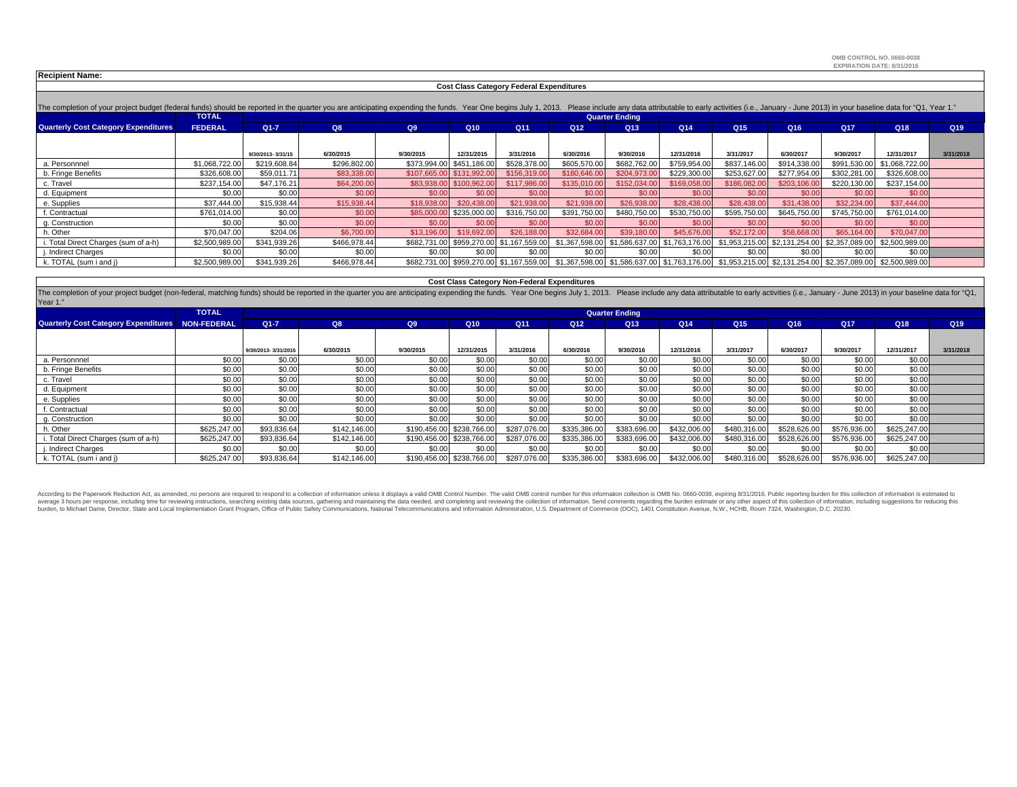**OMB CONTROL NO. 0660-0038EXPIRATION DATE: 8/31/2016**

|  |  |  | <b>Recipient Name:</b> |
|--|--|--|------------------------|
|--|--|--|------------------------|

 **Cost Class Category Federal Expenditures**

| The completion of your project budget (federal funds) should be reported in the quarter you are anticipating expending the funds. Year One begins July 1, 2013. Please include any data attributable to early activities (i.e. |                |                   |                       |             |                           |                                          |                 |                                              |                  |                 |              |                 |                                                             |                 |  |  |
|--------------------------------------------------------------------------------------------------------------------------------------------------------------------------------------------------------------------------------|----------------|-------------------|-----------------------|-------------|---------------------------|------------------------------------------|-----------------|----------------------------------------------|------------------|-----------------|--------------|-----------------|-------------------------------------------------------------|-----------------|--|--|
|                                                                                                                                                                                                                                | <b>TOTAL</b>   |                   | <b>Quarter Ending</b> |             |                           |                                          |                 |                                              |                  |                 |              |                 |                                                             |                 |  |  |
| <b>Quarterly Cost Category Expenditures</b>                                                                                                                                                                                    | <b>FEDERAL</b> | $Q1 - 7$          | Q8                    | Q9          | Q10                       | Q <sub>11</sub>                          | Q <sub>12</sub> | Q <sub>13</sub>                              | Q14              | Q <sub>15</sub> | Q16          | Q <sub>17</sub> | Q18                                                         | Q <sub>19</sub> |  |  |
|                                                                                                                                                                                                                                |                |                   |                       |             |                           |                                          |                 |                                              |                  |                 |              |                 |                                                             |                 |  |  |
|                                                                                                                                                                                                                                |                | 9/30/2013-3/31/15 | 6/30/2015             | 9/30/2015   | 12/31/2015                | 3/31/2016                                | 6/30/2016       | 9/30/2016                                    | 12/31/2016       | 3/31/2017       | 6/30/2017    | 9/30/2017       | 12/31/2017                                                  | 3/31/2018       |  |  |
| a. Personnnel                                                                                                                                                                                                                  | \$1,068,722.00 | \$219,608.84      | \$296,802.00          |             | \$373,994.00 \$451,186.00 | \$528,378.00                             | \$605,570.00    | \$682,762.00                                 | \$759,954.00     | \$837,146.00    | \$914,338.00 | \$991,530.00    | \$1.068.722.00                                              |                 |  |  |
| b. Fringe Benefits                                                                                                                                                                                                             | \$326,608.00   | \$59,011.71       | \$83,338.00           | \$107,665.0 | \$131,992.0               | \$156,319.00                             | \$180,646,00    | \$204,973.0                                  | \$229,300.00     | \$253,627.00    | \$277,954.00 | \$302,281.00    | \$326,608.00                                                |                 |  |  |
| c. Travel                                                                                                                                                                                                                      | \$237,154.00   | \$47,176.21       | \$64,200.00           | \$83,938,00 | \$100,962.00              | \$117,986.00                             | \$135,010,00    | \$152,034,00                                 | \$169,058,00     | \$186,082.00    | \$203,106.00 | \$220,130.00    | \$237,154.00                                                |                 |  |  |
| d. Equipment                                                                                                                                                                                                                   | \$0.00         | \$0.00            | \$0.00                | \$0.00      | \$0.00                    | \$0.00                                   | \$0.00          | \$0.00                                       | \$0.00           | \$0.00          | \$0.00       | \$0.00          | \$0.00                                                      |                 |  |  |
| e. Supplies                                                                                                                                                                                                                    | \$37,444.00    | \$15,938.44       | \$15,938.44           | \$18,938.00 | \$20,438,00               | \$21,938.00                              | \$21,938,00     | \$26,938.00                                  | \$28,438,00      | \$28,438.0      | \$31,438,00  | \$32,234.00     | \$37,444.00                                                 |                 |  |  |
| f. Contractual                                                                                                                                                                                                                 | \$761,014.00   | \$0.00            | \$0.00                | \$85,000.00 | \$235,000.00              | \$316,750.00                             | \$391,750.00    | \$480,750.00                                 | \$530,750.00     | \$595,750.00    | \$645,750.00 | \$745,750.00    | \$761,014.00                                                |                 |  |  |
| g. Construction                                                                                                                                                                                                                | \$0.00         | \$0.00            | \$0.00                | \$0.00      | \$0.00                    | \$0.00                                   | \$0.00          | \$0.00                                       | \$0.00           | \$0.0           | \$0.00       | \$0.00          | \$0.00                                                      |                 |  |  |
| h. Other                                                                                                                                                                                                                       | \$70,047.00    | \$204.06          | \$6,700.00            | \$13,196.00 | \$19,692.0                | \$26,188,00                              | \$32,684.00     | \$39,180.0                                   | \$45,676.00      | \$52,172.00     | \$58,668.00  | \$65,164.00     | \$70,047.00                                                 |                 |  |  |
| i. Total Direct Charges (sum of a-h)                                                                                                                                                                                           | \$2,500,989.00 | \$341,939.26      | \$466,978.44          |             |                           | \$682,731.00 \$959,270.00 \$1,167,559.00 | \$1,367,598.00  | \$1,586,637.00                               | 0 \$1,763,176.00 |                 |              |                 | \$1,953,215.00 \$2,131,254.00 \$2,357,089.00 \$2,500,989.00 |                 |  |  |
| j. Indirect Charges                                                                                                                                                                                                            | \$0.00         | \$0.00            | \$0.00                | \$0.00      | \$0.00                    | \$0.00                                   | \$0.00          | \$0.00                                       | \$0.00           | \$0.00          | \$0.00       | \$0.00          | \$0.00                                                      |                 |  |  |
| k. TOTAL (sum i and j)                                                                                                                                                                                                         | \$2,500,989.00 | \$341,939.26      | \$466,978.44          |             |                           | \$682,731.00 \$959,270.00 \$1,167,559.00 |                 | \$1,367,598.00 \$1,586,637.00 \$1,763,176.00 |                  |                 |              |                 | \$1,953,215.00 \$2,131,254.00 \$2,357,089.00 \$2,500,989.00 |                 |  |  |

| <b>Cost Class Category Non-Federal Expenditures</b>                                                                                                                                                                                        |              |                     |                       |           |                           |              |                 |                 |                 |                 |                 |                 |              |                 |
|--------------------------------------------------------------------------------------------------------------------------------------------------------------------------------------------------------------------------------------------|--------------|---------------------|-----------------------|-----------|---------------------------|--------------|-----------------|-----------------|-----------------|-----------------|-----------------|-----------------|--------------|-----------------|
| The completion of your project budget (non-federal, matching funds) should be reported in the quarter you are anticipating expending the funds. Year One begins July 1, 2013. Please include any data attributable to early ac<br>Year 1." |              |                     |                       |           |                           |              |                 |                 |                 |                 |                 |                 |              |                 |
|                                                                                                                                                                                                                                            | <b>TOTAL</b> |                     | <b>Quarter Ending</b> |           |                           |              |                 |                 |                 |                 |                 |                 |              |                 |
| Quarterly Cost Category Expenditures NON-FEDERAL                                                                                                                                                                                           |              | $Q1 - 7$            | Q8                    | Q9        | Q10                       | Q11          | Q <sub>12</sub> | Q <sub>13</sub> | Q <sub>14</sub> | Q <sub>15</sub> | Q <sub>16</sub> | Q <sub>17</sub> | Q18          | Q <sub>19</sub> |
|                                                                                                                                                                                                                                            |              |                     |                       |           |                           |              |                 |                 |                 |                 |                 |                 |              |                 |
|                                                                                                                                                                                                                                            |              | 9/30/2013-3/31/2015 | 6/30/2015             | 9/30/2015 | 12/31/2015                | 3/31/2016    | 6/30/2016       | 9/30/2016       | 12/31/2016      | 3/31/2017       | 6/30/2017       | 9/30/2017       | 12/31/2017   | 3/31/2018       |
| a. Personnnel                                                                                                                                                                                                                              | \$0.00       | \$0.00              | \$0.00                | \$0.00    | \$0.00                    | \$0.00       | \$0.00          | \$0.00          | \$0.00          | \$0.00          | \$0.00          | \$0.00          | \$0.00       |                 |
| b. Fringe Benefits                                                                                                                                                                                                                         | \$0.00       | \$0.00              | \$0.00                | \$0.00    | \$0.00                    | \$0.00       | \$0.00          | \$0.00          | \$0.00          | \$0.00          | \$0.00          | \$0.00          | \$0.00       |                 |
| c. Travel                                                                                                                                                                                                                                  | \$0.00       | \$0.00              | \$0.00                | \$0.00    | \$0.00                    | \$0.00       | \$0.00          | \$0.00          | \$0.00          | \$0.00          | \$0.00          | \$0.00          | \$0.00       |                 |
| d. Equipment                                                                                                                                                                                                                               | \$0.00       | \$0.00              | \$0.00                | \$0.00    | \$0.00                    | \$0.00       | \$0.00          | \$0.00          | \$0.00          | \$0.00          | \$0.00          | \$0.00          | \$0.00       |                 |
| e. Supplies                                                                                                                                                                                                                                | \$0.00       | \$0.00              | \$0.00                | \$0.00    | \$0.00                    | \$0.00       | \$0.00          | \$0.00          | \$0.00          | \$0.00          | \$0.00          | \$0.00          | \$0.00       |                 |
| . Contractual                                                                                                                                                                                                                              | \$0.00       | \$0.00              | \$0.00                | \$0.00    | \$0.00                    | \$0.00       | \$0.00          | \$0.00          | \$0.00          | \$0.00          | \$0.00          | \$0.00          | \$0.00       |                 |
| g. Construction                                                                                                                                                                                                                            | \$0.00       | \$0.00              | \$0.00                | \$0.00    | \$0.00                    | \$0.00       | \$0.00          | \$0.00          | \$0.00          | \$0.00          | \$0.00          | \$0.00          | \$0.00       |                 |
| า. Other                                                                                                                                                                                                                                   | \$625,247.00 | \$93,836.64         | \$142,146.00          |           | \$190,456.00 \$238,766.00 | \$287,076,00 | \$335,386.00    | \$383,696.00    | \$432,006.00    | \$480,316.00    | \$528,626.00    | \$576,936.00    | \$625,247.00 |                 |
| i. Total Direct Charges (sum of a-h)                                                                                                                                                                                                       | \$625,247.00 | \$93,836.64         | \$142,146.00          |           | \$190,456.00 \$238,766.00 | \$287,076.00 | \$335,386.00    | \$383,696.00    | \$432,006.00    | \$480,316.00    | \$528,626.00    | \$576,936.00    | \$625,247.00 |                 |
| . Indirect Charges                                                                                                                                                                                                                         | \$0.00       | \$0.00              | \$0.00                | \$0.00    | \$0.00                    | \$0.00       | \$0.00          | \$0.00          | \$0.00          | \$0.00          | \$0.00          | \$0.00          | \$0.00       |                 |
| k. TOTAL (sum i and j)                                                                                                                                                                                                                     | \$625,247.00 | \$93,836.64         | \$142,146.00          |           | \$190,456.00 \$238,766.00 | \$287,076.00 | \$335,386.00    | \$383,696.00    | \$432,006.00    | \$480,316.00    | \$528,626.00    | \$576,936.00    | \$625,247.00 |                 |

According to the Paperwork Reduction Act, as amended, no persons are required to respond to a collection of information unless it displays a valid OMB Control Number. The valid OMB control number for this information colle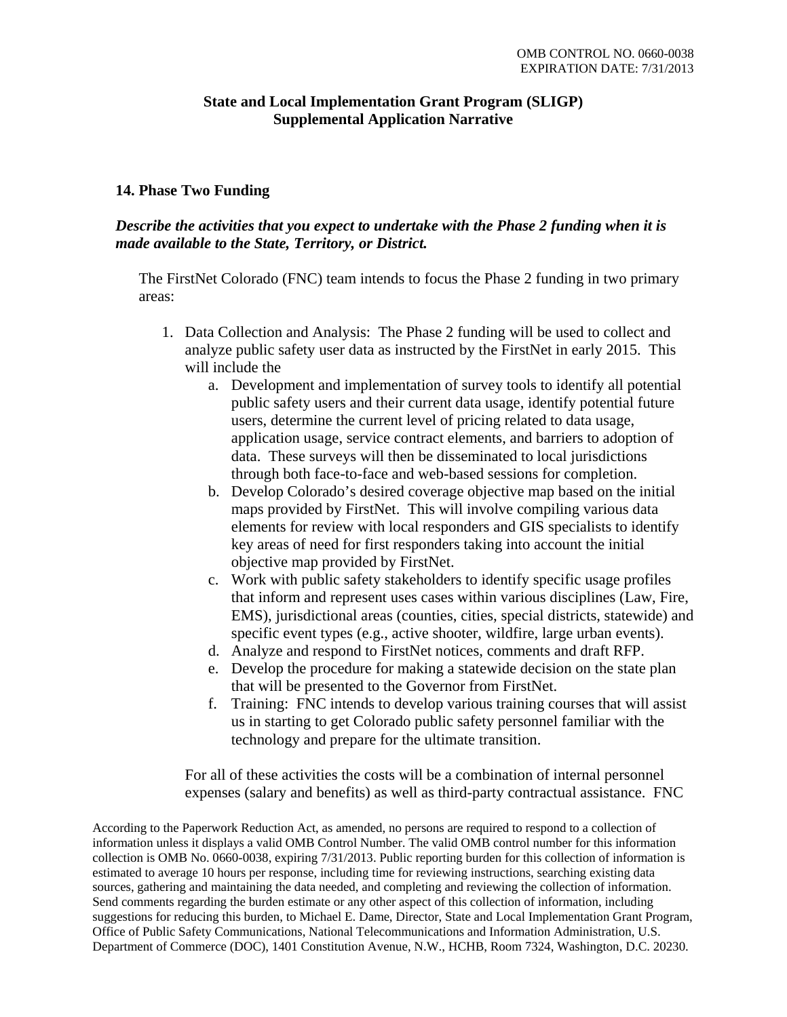## **State and Local Implementation Grant Program (SLIGP) Supplemental Application Narrative**

## **14. Phase Two Funding**

*Describe the activities that you expect to undertake with the Phase 2 funding when it is made available to the State, Territory, or District.* 

The FirstNet Colorado (FNC) team intends to focus the Phase 2 funding in two primary areas:

- 1. Data Collection and Analysis: The Phase 2 funding will be used to collect and analyze public safety user data as instructed by the FirstNet in early 2015. This will include the
	- a. Development and implementation of survey tools to identify all potential public safety users and their current data usage, identify potential future users, determine the current level of pricing related to data usage, application usage, service contract elements, and barriers to adoption of data. These surveys will then be disseminated to local jurisdictions through both face-to-face and web-based sessions for completion.
	- b. Develop Colorado's desired coverage objective map based on the initial maps provided by FirstNet. This will involve compiling various data elements for review with local responders and GIS specialists to identify key areas of need for first responders taking into account the initial objective map provided by FirstNet.
	- c. Work with public safety stakeholders to identify specific usage profiles that inform and represent uses cases within various disciplines (Law, Fire, EMS), jurisdictional areas (counties, cities, special districts, statewide) and specific event types (e.g., active shooter, wildfire, large urban events).
	- d. Analyze and respond to FirstNet notices, comments and draft RFP.
	- e. Develop the procedure for making a statewide decision on the state plan that will be presented to the Governor from FirstNet.
	- f. Training: FNC intends to develop various training courses that will assist us in starting to get Colorado public safety personnel familiar with the technology and prepare for the ultimate transition.

For all of these activities the costs will be a combination of internal personnel expenses (salary and benefits) as well as third-party contractual assistance. FNC

According to the Paperwork Reduction Act, as amended, no persons are required to respond to a collection of information unless it displays a valid OMB Control Number. The valid OMB control number for this information collection is OMB No. 0660-0038, expiring 7/31/2013. Public reporting burden for this collection of information is estimated to average 10 hours per response, including time for reviewing instructions, searching existing data sources, gathering and maintaining the data needed, and completing and reviewing the collection of information. Send comments regarding the burden estimate or any other aspect of this collection of information, including suggestions for reducing this burden, to Michael E. Dame, Director, State and Local Implementation Grant Program, Office of Public Safety Communications, National Telecommunications and Information Administration, U.S. Department of Commerce (DOC), 1401 Constitution Avenue, N.W., HCHB, Room 7324, Washington, D.C. 20230.